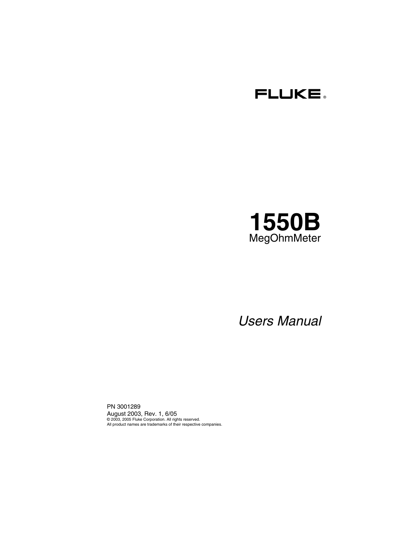



# *Users Manual*

PN 3001289 August 2003, Rev. 1, 6/05 © 2003, 2005 Fluke Corporation. All rights reserved. All product names are trademarks of their respective companies.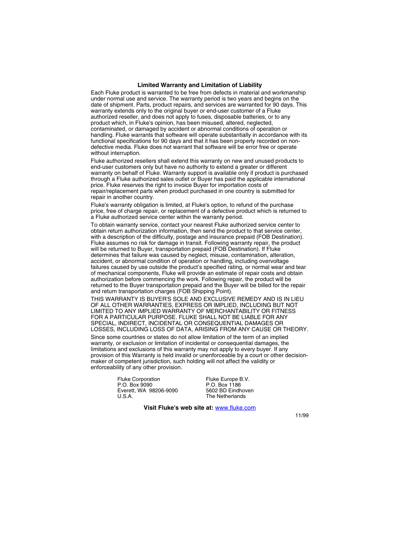#### **Limited Warranty and Limitation of Liability**

Each Fluke product is warranted to be free from defects in material and workmanship under normal use and service. The warranty period is two years and begins on the date of shipment. Parts, product repairs, and services are warranted for 90 days. This warranty extends only to the original buyer or end-user customer of a Fluke authorized reseller, and does not apply to fuses, disposable batteries, or to any product which, in Fluke's opinion, has been misused, altered, neglected, contaminated, or damaged by accident or abnormal conditions of operation or handling. Fluke warrants that software will operate substantially in accordance with its functional specifications for 90 days and that it has been properly recorded on nondefective media. Fluke does not warrant that software will be error free or operate without interruption.

Fluke authorized resellers shall extend this warranty on new and unused products to end-user customers only but have no authority to extend a greater or different warranty on behalf of Fluke. Warranty support is available only if product is purchased through a Fluke authorized sales outlet or Buyer has paid the applicable international price. Fluke reserves the right to invoice Buyer for importation costs of repair/replacement parts when product purchased in one country is submitted for repair in another country.

Fluke's warranty obligation is limited, at Fluke's option, to refund of the purchase price, free of charge repair, or replacement of a defective product which is returned to a Fluke authorized service center within the warranty period.

To obtain warranty service, contact your nearest Fluke authorized service center to obtain return authorization information, then send the product to that service center, with a description of the difficulty, postage and insurance prepaid (FOB Destination). Fluke assumes no risk for damage in transit. Following warranty repair, the product will be returned to Buyer, transportation prepaid (FOB Destination). If Fluke determines that failure was caused by neglect, misuse, contamination, alteration, accident, or abnormal condition of operation or handling, including overvoltage failures caused by use outside the product's specified rating, or normal wear and tear of mechanical components, Fluke will provide an estimate of repair costs and obtain authorization before commencing the work. Following repair, the product will be returned to the Buyer transportation prepaid and the Buyer will be billed for the repair and return transportation charges (FOB Shipping Point).

THIS WARRANTY IS BUYER'S SOLE AND EXCLUSIVE REMEDY AND IS IN LIEU OF ALL OTHER WARRANTIES, EXPRESS OR IMPLIED, INCLUDING BUT NOT LIMITED TO ANY IMPLIED WARRANTY OF MERCHANTABILITY OR FITNESS FOR A PARTICULAR PURPOSE. FLUKE SHALL NOT BE LIABLE FOR ANY SPECIAL, INDIRECT, INCIDENTAL OR CONSEQUENTIAL DAMAGES OR LOSSES, INCLUDING LOSS OF DATA, ARISING FROM ANY CAUSE OR THEORY.

Since some countries or states do not allow limitation of the term of an implied warranty, or exclusion or limitation of incidental or consequential damages, the limitations and exclusions of this warranty may not apply to every buyer. If any provision of this Warranty is held invalid or unenforceable by a court or other decisionmaker of competent jurisdiction, such holding will not affect the validity or enforceability of any other provision.

> Fluke Corporation P.O. Box 9090 Everett, WA 98206-9090 U.S.A.

Fluke Europe B.V. P.O. Box 1186 5602 BD Eindhoven The Netherlands

**Visit Fluke's web site at:** [www.fluke.com](http://www.fluke.com)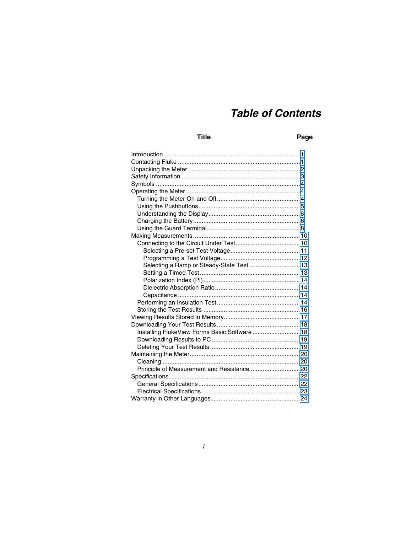## **Table of Contents**

### **Title**

#### Page

| Selecting a Ramp or Steady-State Test 13     |  |
|----------------------------------------------|--|
|                                              |  |
|                                              |  |
|                                              |  |
|                                              |  |
|                                              |  |
|                                              |  |
|                                              |  |
|                                              |  |
| Installing FlukeView Forms Basic Software 18 |  |
|                                              |  |
|                                              |  |
|                                              |  |
|                                              |  |
| Principle of Measurement and Resistance 20   |  |
|                                              |  |
|                                              |  |
|                                              |  |
|                                              |  |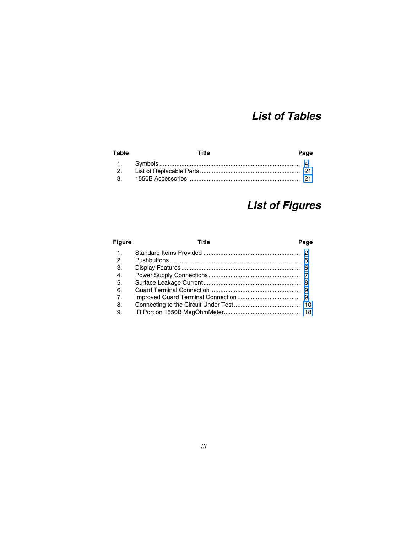# *List of Tables*

| Table | Title | Page |
|-------|-------|------|
|       |       |      |
|       |       |      |
|       |       |      |

# *List of Figures*

| <b>Figure</b>  | Title | Page |
|----------------|-------|------|
| 1.             |       |      |
| 2.             |       |      |
| 3.             |       |      |
| $\mathbf{4}$   |       |      |
| .5.            |       |      |
| 6.             |       |      |
| $\overline{7}$ |       |      |
| 8.             |       |      |
| 9.             |       |      |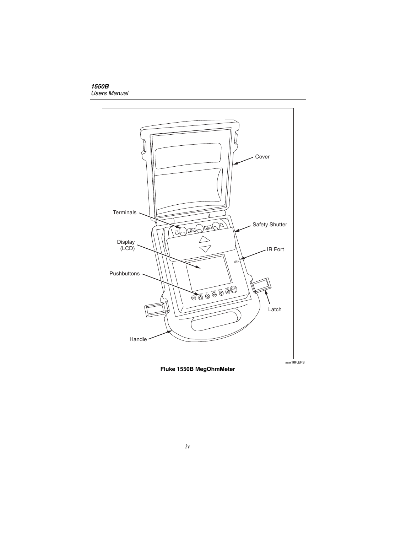

**Fluke 1550B MegOhmMeter**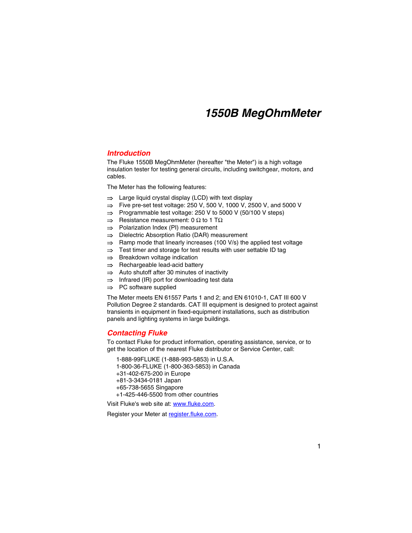# *1550B MegOhmMeter*

### <span id="page-6-0"></span>*Introduction*

The Fluke 1550B MegOhmMeter (hereafter "the Meter") is a high voltage insulation tester for testing general circuits, including switchgear, motors, and cables.

The Meter has the following features:

- ⇒ Large liquid crystal display (LCD) with text display
- ⇒ Five pre-set test voltage: 250 V, 500 V, 1000 V, 2500 V, and 5000 V
- ⇒ Programmable test voltage: 250 V to 5000 V (50/100 V steps)
- $\Rightarrow$  Resistance measurement: 0  $\Omega$  to 1 T $\Omega$
- ⇒ Polarization Index (PI) measurement
- ⇒ Dielectric Absorption Ratio (DAR) measurement
- ⇒ Ramp mode that linearly increases (100 V/s) the applied test voltage
- ⇒ Test timer and storage for test results with user settable ID tag
- ⇒ Breakdown voltage indication
- ⇒ Rechargeable lead-acid battery
- ⇒ Auto shutoff after 30 minutes of inactivity
- ⇒ Infrared (IR) port for downloading test data
- ⇒ PC software supplied

The Meter meets EN 61557 Parts 1 and 2; and EN 61010-1, CAT III 600 V Pollution Degree 2 standards. CAT III equipment is designed to protect against transients in equipment in fixed-equipment installations, such as distribution panels and lighting systems in large buildings.

### *Contacting Fluke*

To contact Fluke for product information, operating assistance, service, or to get the location of the nearest Fluke distributor or Service Center, call:

1-888-99FLUKE (1-888-993-5853) in U.S.A. 1-800-36-FLUKE (1-800-363-5853) in Canada +31-402-675-200 in Europe +81-3-3434-0181 Japan +65-738-5655 Singapore +1-425-446-5500 from other countries

Visit Fluke's web site a[t: www.fluke.com.](http://www.fluke.com) 

Register your Meter at register.fluke.com.